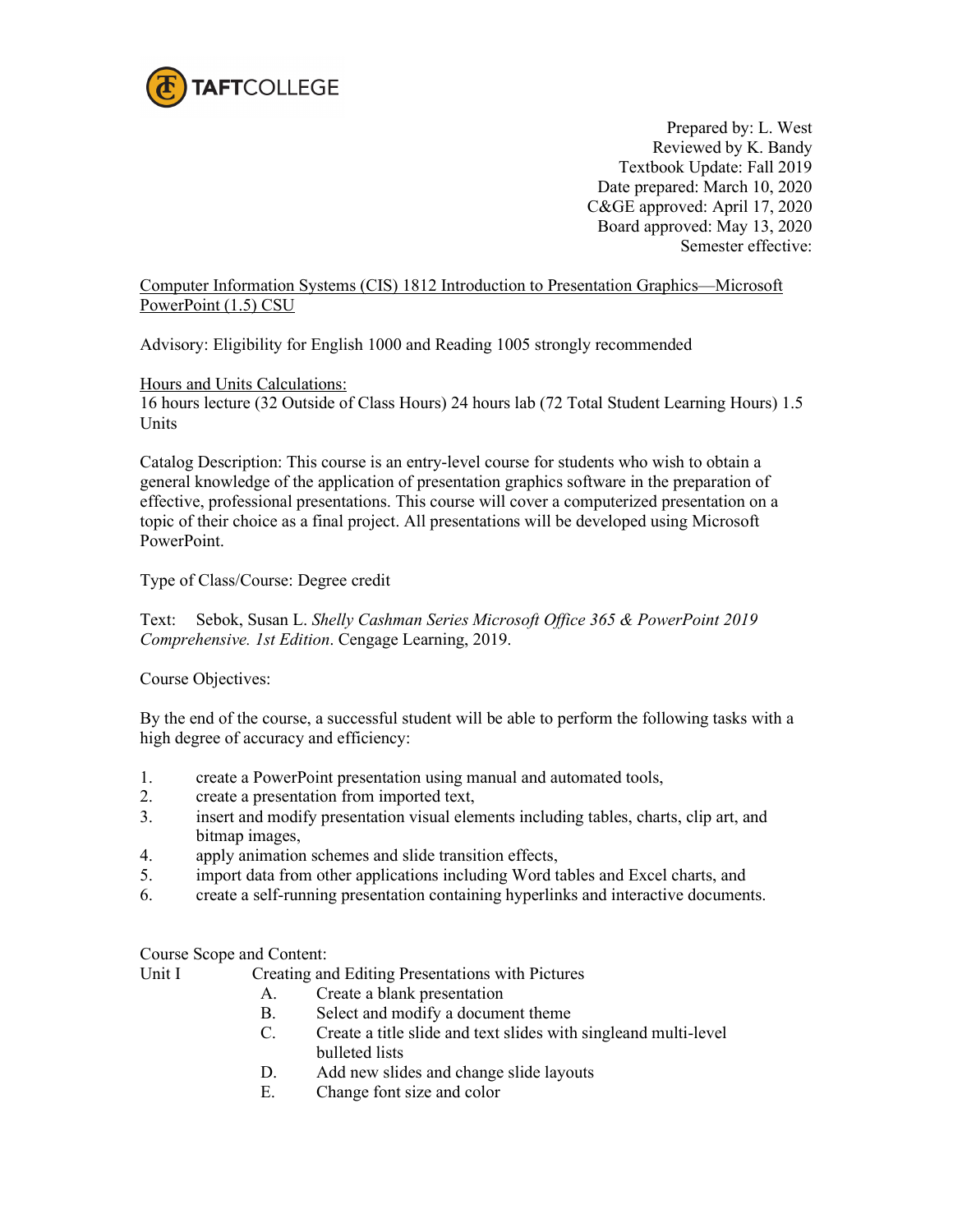

Prepared by: L. West Reviewed by K. Bandy Textbook Update: Fall 2019 Date prepared: March 10, 2020 C&GE approved: April 17, 2020 Board approved: May 13, 2020 Semester effective:

Computer Information Systems (CIS) 1812 Introduction to Presentation Graphics—Microsoft PowerPoint (1.5) CSU

Advisory: Eligibility for English 1000 and Reading 1005 strongly recommended

Hours and Units Calculations:

16 hours lecture (32 Outside of Class Hours) 24 hours lab (72 Total Student Learning Hours) 1.5 Units

Catalog Description: This course is an entry-level course for students who wish to obtain a general knowledge of the application of presentation graphics software in the preparation of effective, professional presentations. This course will cover a computerized presentation on a topic of their choice as a final project. All presentations will be developed using Microsoft PowerPoint.

Type of Class/Course: Degree credit

Text: Sebok, Susan L. *Shelly Cashman Series Microsoft Office 365 & PowerPoint 2019 Comprehensive. 1st Edition*. Cengage Learning, 2019.

Course Objectives:

By the end of the course, a successful student will be able to perform the following tasks with a high degree of accuracy and efficiency:

- 1. create a PowerPoint presentation using manual and automated tools,
- 2. create a presentation from imported text,
- 3. insert and modify presentation visual elements including tables, charts, clip art, and bitmap images,
- 4. apply animation schemes and slide transition effects,
- 5. import data from other applications including Word tables and Excel charts, and
- 6. create a self-running presentation containing hyperlinks and interactive documents.

Course Scope and Content:

Unit I Creating and Editing Presentations with Pictures

- A. Create a blank presentation
- B. Select and modify a document theme
- C. Create a title slide and text slides with singleand multi-level bulleted lists
- D. Add new slides and change slide layouts
- E. Change font size and color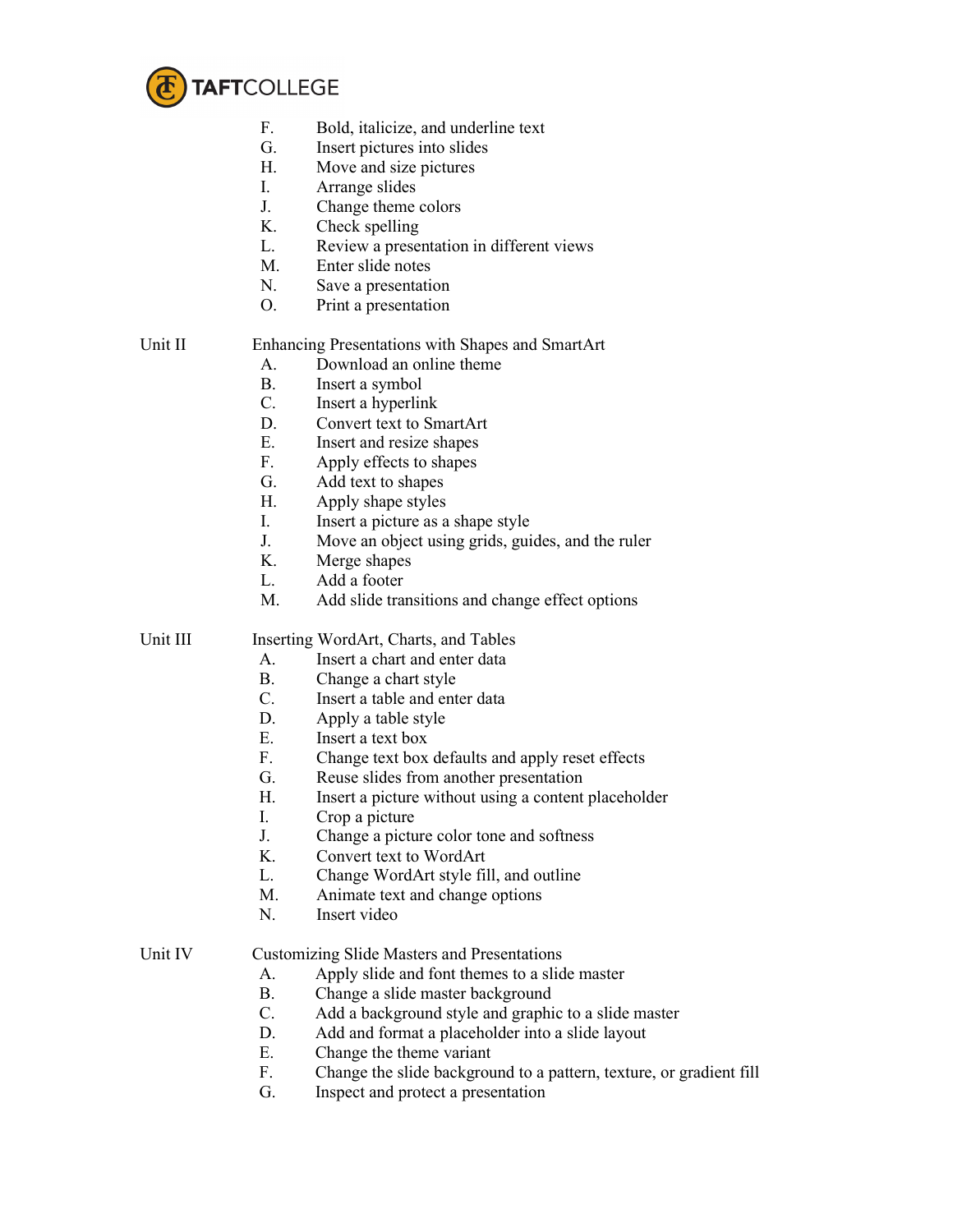

- F. Bold, italicize, and underline text
- G. Insert pictures into slides
- H. Move and size pictures
- I. Arrange slides
- J. Change theme colors
- K. Check spelling
- L. Review a presentation in different views
- M. Enter slide notes
- N. Save a presentation
- O. Print a presentation

# Unit II Enhancing Presentations with Shapes and SmartArt

- A. Download an online theme
- B. Insert a symbol
- C. Insert a hyperlink
- D. Convert text to SmartArt
- E. Insert and resize shapes
- F. Apply effects to shapes
- G. Add text to shapes
- H. Apply shape styles
- I. Insert a picture as a shape style
- J. Move an object using grids, guides, and the ruler
- K. Merge shapes
- L. Add a footer
- M. Add slide transitions and change effect options

Unit III Inserting WordArt, Charts, and Tables

- A. Insert a chart and enter data
- B. Change a chart style
- C. Insert a table and enter data
- D. Apply a table style
- E. Insert a text box
- F. Change text box defaults and apply reset effects
- G. Reuse slides from another presentation
- H. Insert a picture without using a content placeholder
- I. Crop a picture
- J. Change a picture color tone and softness
- K. Convert text to WordArt
- L. Change WordArt style fill, and outline
- M. Animate text and change options
- N. Insert video

## Unit IV Customizing Slide Masters and Presentations

- A. Apply slide and font themes to a slide master<br>B. Change a slide master background
- Change a slide master background
- C. Add a background style and graphic to a slide master
- D. Add and format a placeholder into a slide layout
- E. Change the theme variant
- F. Change the slide background to a pattern, texture, or gradient fill
- G. Inspect and protect a presentation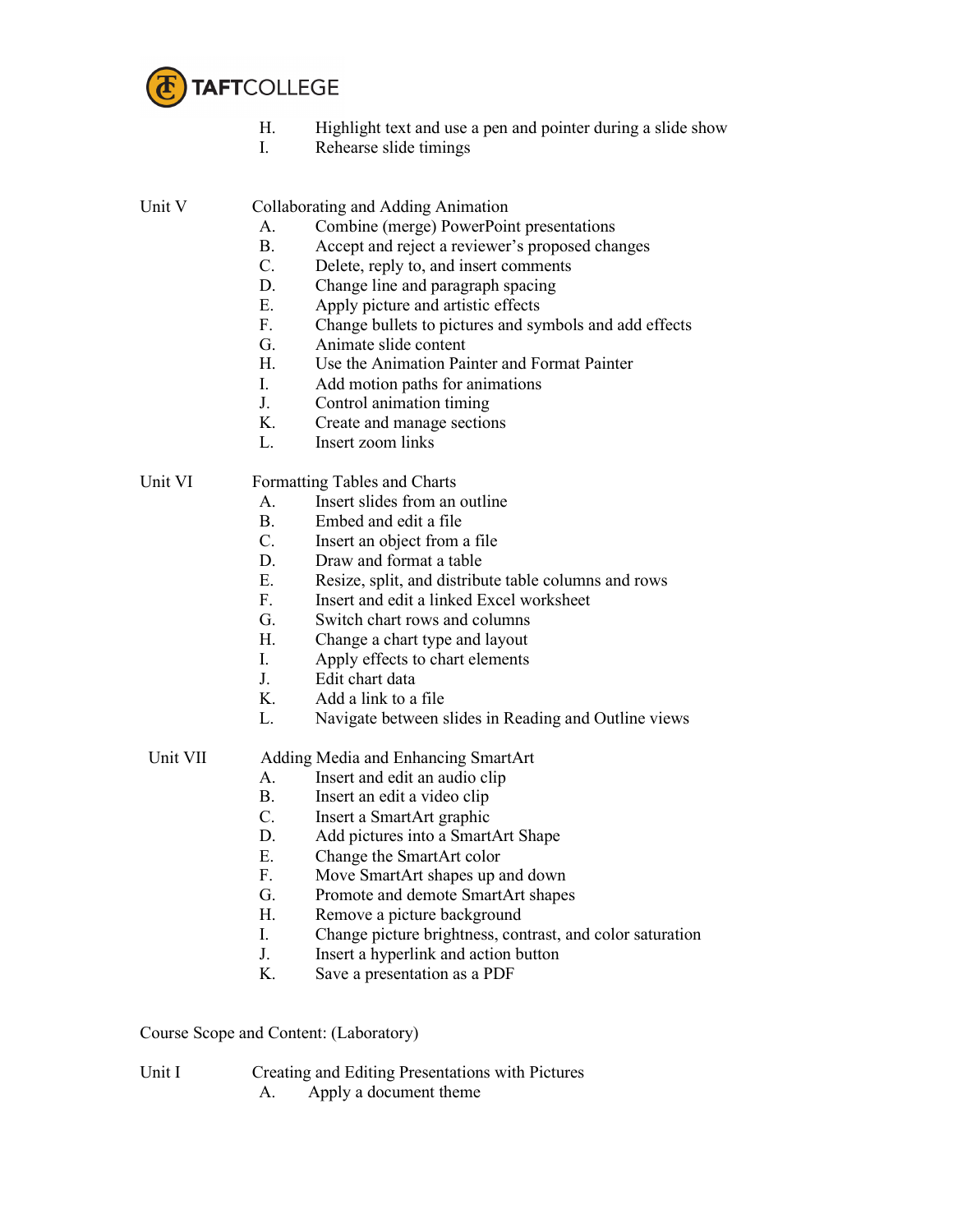

- H. Highlight text and use a pen and pointer during a slide show
- I. Rehearse slide timings

Unit V Collaborating and Adding Animation

- A. Combine (merge) PowerPoint presentations
- B. Accept and reject a reviewer's proposed changes<br>C. Delete, reply to, and insert comments
- Delete, reply to, and insert comments
- D. Change line and paragraph spacing
- E. Apply picture and artistic effects
- F. Change bullets to pictures and symbols and add effects
- G. Animate slide content
- H. Use the Animation Painter and Format Painter
- I. Add motion paths for animations
- J. Control animation timing
- K. Create and manage sections
- L. Insert zoom links

Unit VI Formatting Tables and Charts

- A. Insert slides from an outline
- 
- B. Embed and edit a file<br>C. Insert an object from Insert an object from a file.
- D. Draw and format a table
- E. Resize, split, and distribute table columns and rows
- F. Insert and edit a linked Excel worksheet
- G. Switch chart rows and columns
- H. Change a chart type and layout
- I. Apply effects to chart elements
- J. Edit chart data
- K. Add a link to a file
- L. Navigate between slides in Reading and Outline views

# Unit VII Adding Media and Enhancing SmartArt

- A. Insert and edit an audio clip
- B. Insert an edit a video clip
- C. Insert a SmartArt graphic
- D. Add pictures into a SmartArt Shape
- E. Change the SmartArt color
- F. Move SmartArt shapes up and down
- G. Promote and demote SmartArt shapes
- H. Remove a picture background
- I. Change picture brightness, contrast, and color saturation
- J. Insert a hyperlink and action button
- K. Save a presentation as a PDF

Course Scope and Content: (Laboratory)

- Unit I Creating and Editing Presentations with Pictures
	- A. Apply a document theme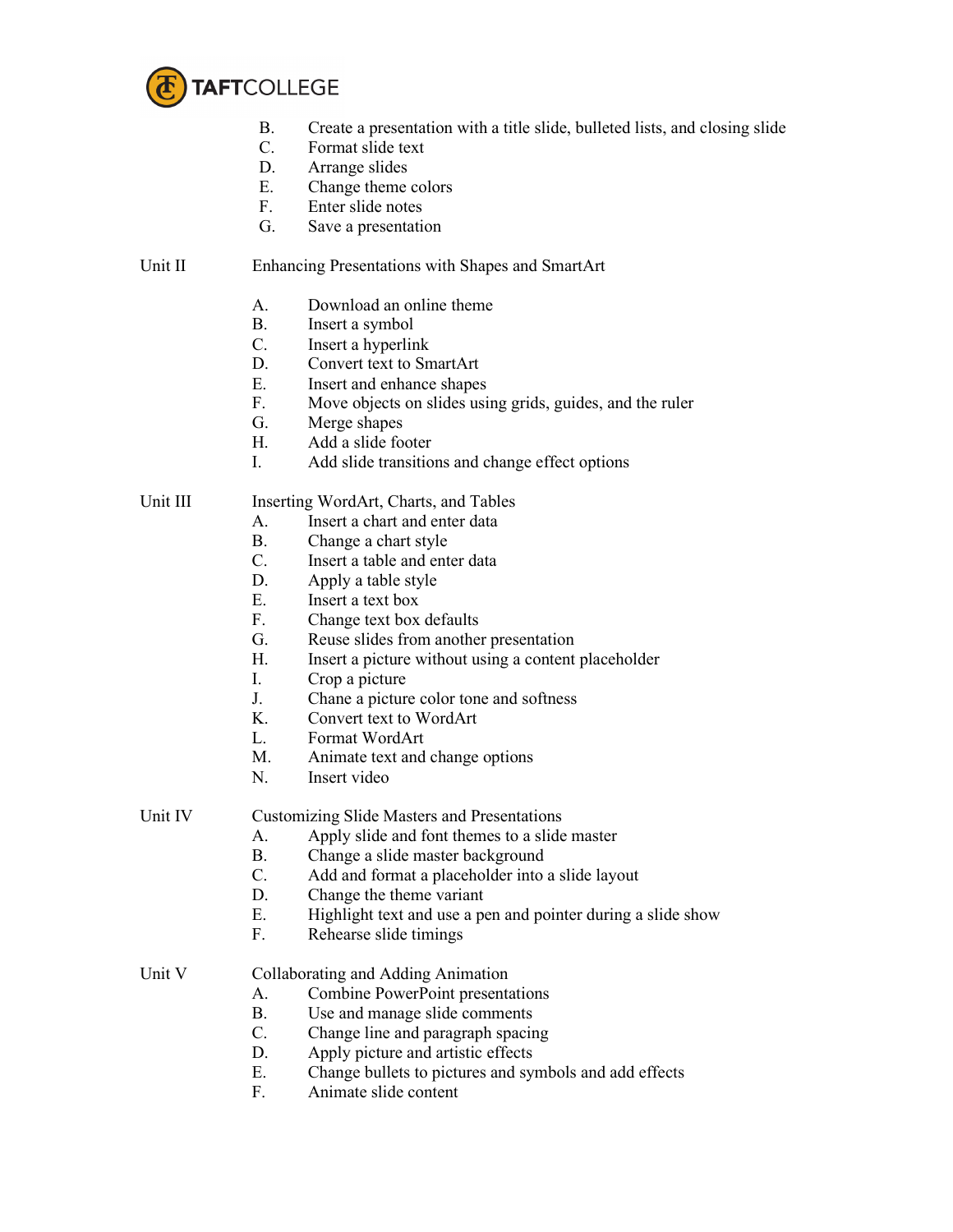

- B. Create a presentation with a title slide, bulleted lists, and closing slide C. Format slide text
- C. Format slide text<br>D. Arrange slides
- Arrange slides
- E. Change theme colors
- F. Enter slide notes
- G. Save a presentation

### Unit II Enhancing Presentations with Shapes and SmartArt

- A. Download an online theme
- B. Insert a symbol
- C. Insert a hyperlink
- D. Convert text to SmartArt
- E. Insert and enhance shapes
- F. Move objects on slides using grids, guides, and the ruler
- G. Merge shapes
- H. Add a slide footer
- I. Add slide transitions and change effect options

### Unit III Inserting WordArt, Charts, and Tables

- A. Insert a chart and enter data
- B. Change a chart style
- C. Insert a table and enter data
- D. Apply a table style
- E. Insert a text box
- F. Change text box defaults
- G. Reuse slides from another presentation
- H. Insert a picture without using a content placeholder
- I. Crop a picture
- J. Chane a picture color tone and softness
- K. Convert text to WordArt
- L. Format WordArt
- M. Animate text and change options
- N. Insert video

Unit IV Customizing Slide Masters and Presentations

- A. Apply slide and font themes to a slide master
- B. Change a slide master background
- C. Add and format a placeholder into a slide layout
- D. Change the theme variant
- E. Highlight text and use a pen and pointer during a slide show
- F. Rehearse slide timings

## Unit V Collaborating and Adding Animation

- A. Combine PowerPoint presentations
- B. Use and manage slide comments
- C. Change line and paragraph spacing
- D. Apply picture and artistic effects
- E. Change bullets to pictures and symbols and add effects
- F. Animate slide content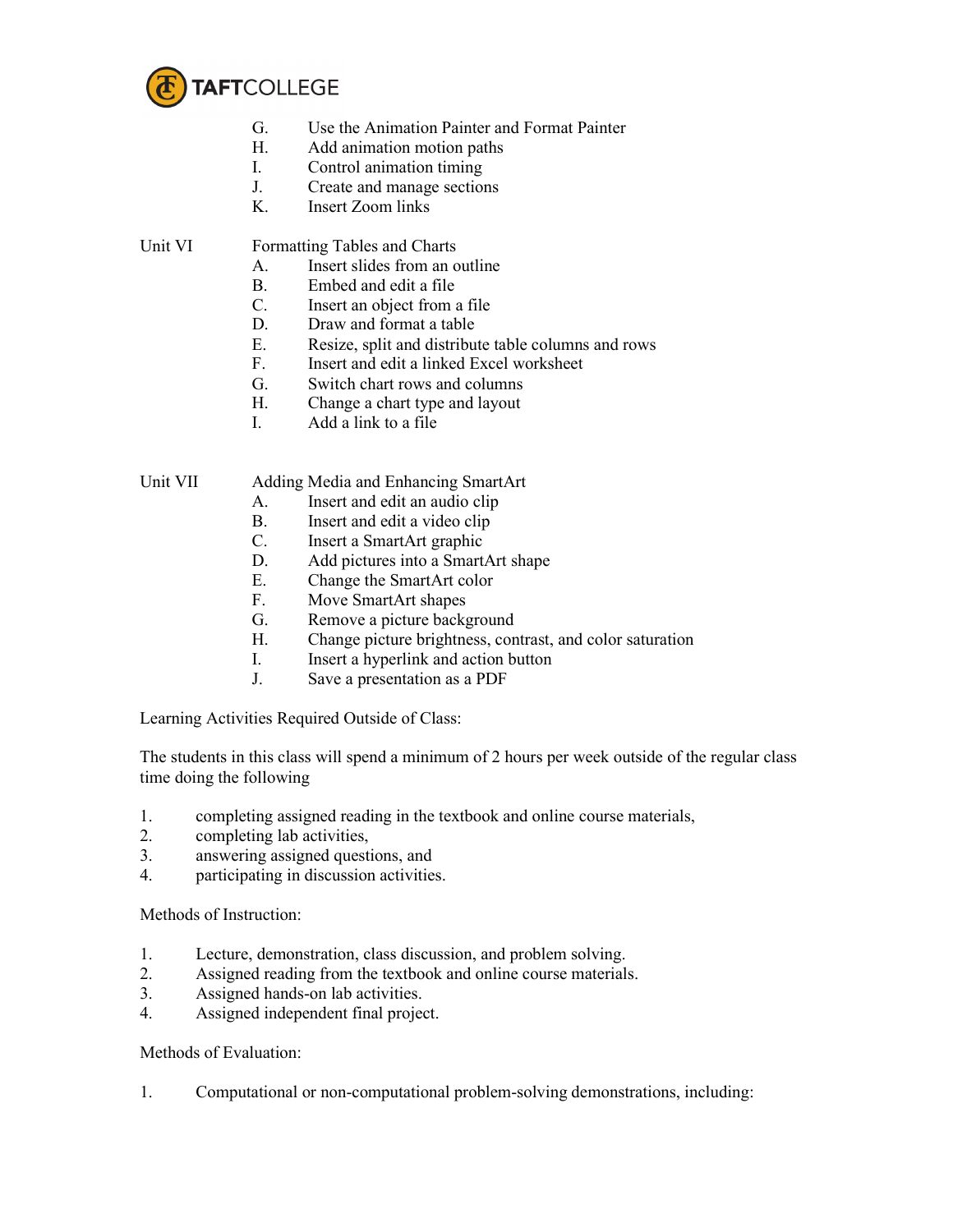

- G. Use the Animation Painter and Format Painter
- H. Add animation motion paths
- I. Control animation timing
- J. Create and manage sections
- K. Insert Zoom links

### Unit VI Formatting Tables and Charts

- A. Insert slides from an outline
- B. Embed and edit a file
- C. Insert an object from a file
- D. Draw and format a table
- E. Resize, split and distribute table columns and rows
- F. Insert and edit a linked Excel worksheet
- G. Switch chart rows and columns
- H. Change a chart type and layout
- I. Add a link to a file

Unit VII Adding Media and Enhancing SmartArt

- A. Insert and edit an audio clip
- B. Insert and edit a video clip
- C. Insert a SmartArt graphic
- D. Add pictures into a SmartArt shape
- E. Change the SmartArt color
- F. Move SmartArt shapes
- G. Remove a picture background
- H. Change picture brightness, contrast, and color saturation
- I. Insert a hyperlink and action button
- J. Save a presentation as a PDF

Learning Activities Required Outside of Class:

The students in this class will spend a minimum of 2 hours per week outside of the regular class time doing the following

- 1. completing assigned reading in the textbook and online course materials,
- 2. completing lab activities,
- 3. answering assigned questions, and
- 4. participating in discussion activities.

Methods of Instruction:

- 1. Lecture, demonstration, class discussion, and problem solving.
- 2. Assigned reading from the textbook and online course materials.
- 3. Assigned hands-on lab activities.
- 4. Assigned independent final project.

Methods of Evaluation:

1. Computational or non-computational problem-solving demonstrations, including: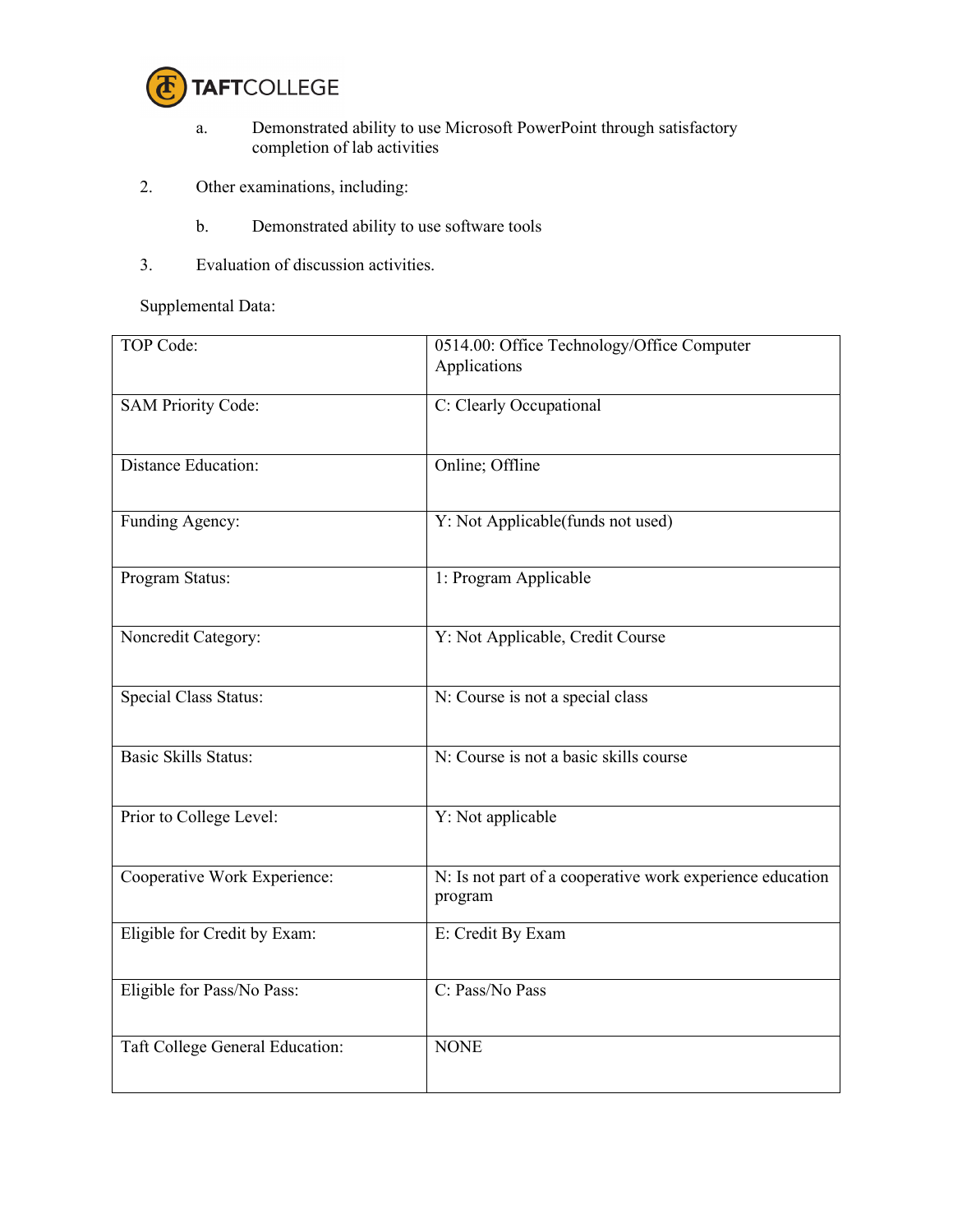

- a. Demonstrated ability to use Microsoft PowerPoint through satisfactory completion of lab activities
- 2. Other examinations, including:
	- b. Demonstrated ability to use software tools
- 3. Evaluation of discussion activities.

Supplemental Data:

| TOP Code:                       | 0514.00: Office Technology/Office Computer<br>Applications           |  |
|---------------------------------|----------------------------------------------------------------------|--|
| <b>SAM Priority Code:</b>       | C: Clearly Occupational                                              |  |
| <b>Distance Education:</b>      | Online; Offline                                                      |  |
| Funding Agency:                 | Y: Not Applicable(funds not used)                                    |  |
| Program Status:                 | 1: Program Applicable                                                |  |
| Noncredit Category:             | Y: Not Applicable, Credit Course                                     |  |
| <b>Special Class Status:</b>    | N: Course is not a special class                                     |  |
| Basic Skills Status:            | N: Course is not a basic skills course                               |  |
| Prior to College Level:         | Y: Not applicable                                                    |  |
| Cooperative Work Experience:    | N: Is not part of a cooperative work experience education<br>program |  |
| Eligible for Credit by Exam:    | E: Credit By Exam                                                    |  |
| Eligible for Pass/No Pass:      | C: Pass/No Pass                                                      |  |
| Taft College General Education: | <b>NONE</b>                                                          |  |